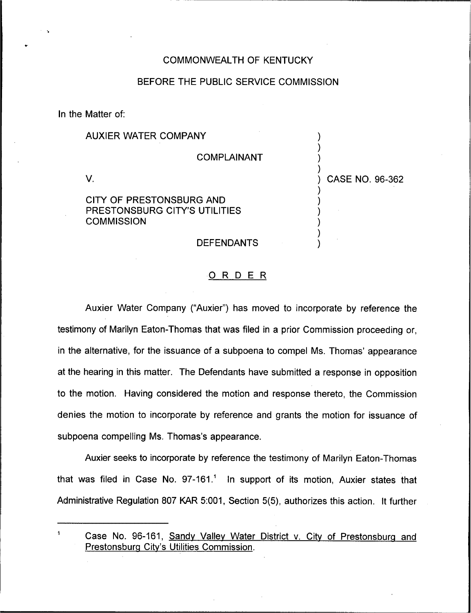## COMMONWEALTH OF KENTUCKY

### BEFORE THE PUBLIC SERVICE COMMISSION

In the Matter of:

# AUXIER WATER COMPANY

COMPLAINANT

) ) ) )

) ) ) ) ) ) ) CASE NO. 96-362

V.

# CITY OF PRESTONSBURG AND PRESTONSBURG CITY'S UTILITIES **COMMISSION**

### DEFENDANTS

### ORDER

Auxier Water Company ("Auxier") has moved to incorporate by reference the testimony of Marilyn Eaton-Thomas that was filed in a prior Commission proceeding or, in the alternative, for the issuance of a subpoena to compel Ms. Thomas' appearance at the hearing in this matter. The Defendants have submitted a response in opposition to the motion. Having considered the motion and response thereto, the Commission denies the motion to incorporate by reference and grants the motion for issuance of subpoena compelling Ms. Thomas's appearance.

Auxier seeks to incorporate by reference the testimony of Marilyn Eaton-Thomas that was filed in Case No. 97-161." In support of its motion, Auxier states that Administrative Regulation 807 KAR 5:001, Section 5(5), authorizes this action. It further

Case No. 96-161, Sandy Valley Water District v. City of Prestonsburg and Prestonsbura Citv's Utilities Commission.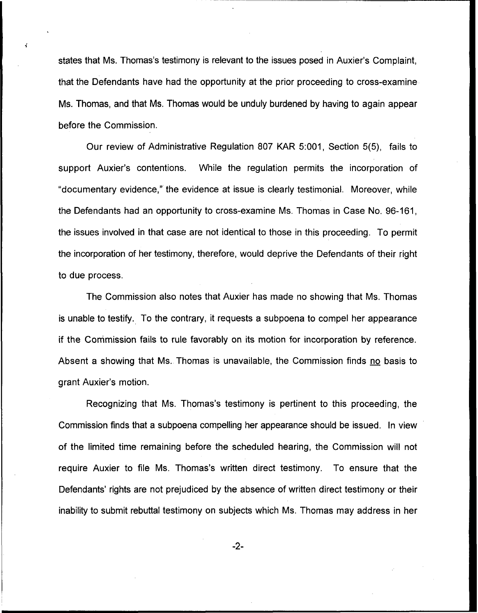states that Ms. Thomas's testimony is relevant to the issues posed in Auxier's Complaint, that the Defendants have had the opportunity at the prior proceeding to cross-examine Ms. Thomas, and that Ms. Thomas would be unduly burdened by having to again appear before the Commission.

Our review of Administrative Regulation 807 KAR 5:001, Section 5(5), fails to support Auxier's contentions. While the regulation permits the incorporation of "documentary evidence," the evidence at issue is clearly testimonial. Moreover, while the Defendants had an opportunity to cross-examine Ms. Thomas in Case No. 96-161, the issues involved in that case are not identical to those in this proceeding. To permit the incorporation of her testimony, therefore, would deprive the Defendants of their right to due process.

The Commission also notes that Auxier has made no showing that Ms. Thomas is unable to testify. To the contrary, it requests a subpoena to compel her appearance if the Commission fails to rule favorably on its motion for incorporation by reference. Absent a showing that Ms. Thomas is unavailable, the Commission finds no basis to grant Auxier's motion.

Recognizing that Ms. Thomas's testimony is pertinent to this proceeding, the Commission finds that a subpoena compelling her appearance should be issued. In view of the limited time remaining before the scheduled hearing, the Commission will not require Auxier to file Ms. Thomas's written direct testimony. To ensure that the Defendants' rights are not prejudiced by the absence of written direct testimony or their inability to submit rebuttal testimony on subjects which Ms. Thomas may address in her

 $-2-$